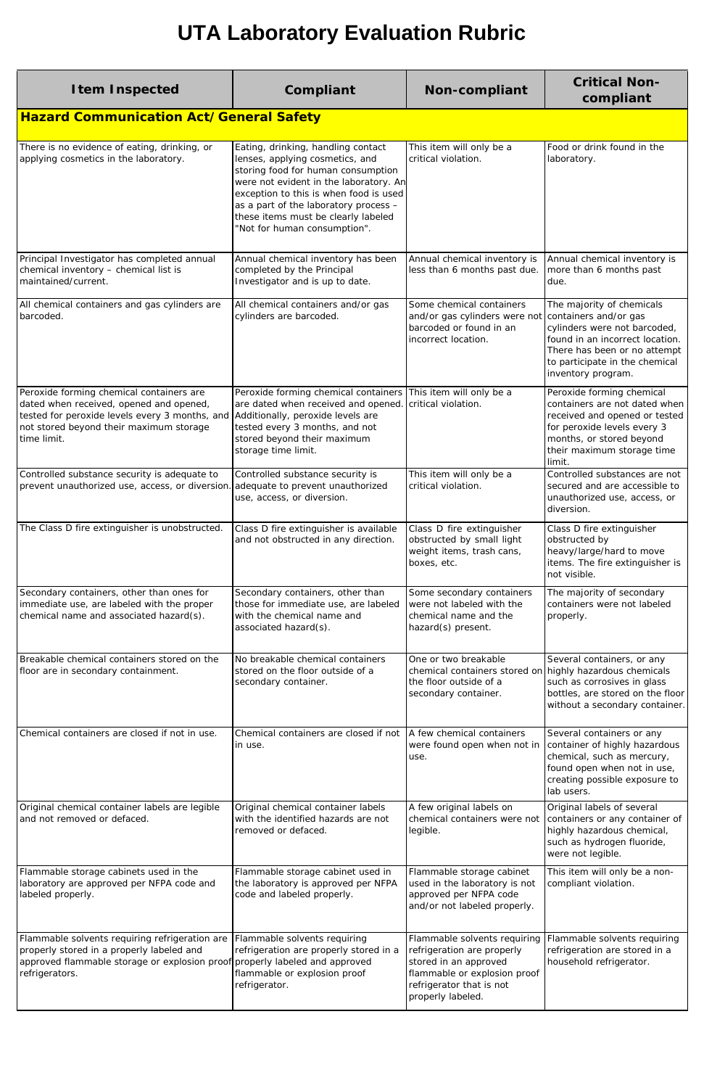| <b>Item Inspected</b>                                                                                                                                                                           | Compliant                                                                                                                                                                                                                                                                                                       | <b>Non-compliant</b>                                                                                                                                                 | <b>Critical Non-</b><br>compliant                                                                                                                                                              |
|-------------------------------------------------------------------------------------------------------------------------------------------------------------------------------------------------|-----------------------------------------------------------------------------------------------------------------------------------------------------------------------------------------------------------------------------------------------------------------------------------------------------------------|----------------------------------------------------------------------------------------------------------------------------------------------------------------------|------------------------------------------------------------------------------------------------------------------------------------------------------------------------------------------------|
| <b>Hazard Communication Act/General Safety</b>                                                                                                                                                  |                                                                                                                                                                                                                                                                                                                 |                                                                                                                                                                      |                                                                                                                                                                                                |
| There is no evidence of eating, drinking, or<br>applying cosmetics in the laboratory.                                                                                                           | Eating, drinking, handling contact<br>lenses, applying cosmetics, and<br>storing food for human consumption<br>were not evident in the laboratory. An<br>exception to this is when food is used<br>as a part of the laboratory process -<br>these items must be clearly labeled<br>"Not for human consumption". | This item will only be a<br>critical violation.                                                                                                                      | Food or drink found in the<br>laboratory.                                                                                                                                                      |
| Principal Investigator has completed annual<br>chemical inventory - chemical list is<br>maintained/current.                                                                                     | Annual chemical inventory has been<br>completed by the Principal<br>Investigator and is up to date.                                                                                                                                                                                                             | Annual chemical inventory is<br>less than 6 months past due.                                                                                                         | Annual chemical inventory is<br>more than 6 months past<br>due.                                                                                                                                |
| All chemical containers and gas cylinders are<br>barcoded.                                                                                                                                      | All chemical containers and/or gas<br>cylinders are barcoded.                                                                                                                                                                                                                                                   | Some chemical containers<br>and/or gas cylinders were not containers and/or gas<br>barcoded or found in an<br>incorrect location.                                    | The majority of chemicals<br>cylinders were not barcoded,<br>found in an incorrect location.<br>There has been or no attempt<br>to participate in the chemical<br>inventory program.           |
| Peroxide forming chemical containers are<br>dated when received, opened and opened,<br>tested for peroxide levels every 3 months, and<br>not stored beyond their maximum storage<br>time limit. | Peroxide forming chemical containers<br>are dated when received and opened<br>Additionally, peroxide levels are<br>tested every 3 months, and not<br>stored beyond their maximum<br>storage time limit.                                                                                                         | This item will only be a<br>critical violation.                                                                                                                      | Peroxide forming chemical<br>containers are not dated when<br>received and opened or tested<br>for peroxide levels every 3<br>months, or stored beyond<br>their maximum storage time<br>limit. |
| Controlled substance security is adequate to<br>prevent unauthorized use, access, or diversion. adequate to prevent unauthorized                                                                | Controlled substance security is<br>use, access, or diversion.                                                                                                                                                                                                                                                  | This item will only be a<br>critical violation.                                                                                                                      | Controlled substances are not<br>secured and are accessible to<br>unauthorized use, access, or<br>diversion.                                                                                   |
| The Class D fire extinguisher is unobstructed.                                                                                                                                                  | Class D fire extinguisher is available<br>and not obstructed in any direction.                                                                                                                                                                                                                                  | Class D fire extinguisher<br>obstructed by small light<br>weight items, trash cans,<br>boxes, etc.                                                                   | Class D fire extinguisher<br>obstructed by<br>heavy/large/hard to move<br>items. The fire extinguisher is<br>not visible.                                                                      |
| Secondary containers, other than ones for<br>immediate use, are labeled with the proper<br>chemical name and associated hazard(s).                                                              | Secondary containers, other than<br>those for immediate use, are labeled<br>with the chemical name and<br>associated hazard(s).                                                                                                                                                                                 | Some secondary containers<br>were not labeled with the<br>chemical name and the<br>hazard(s) present.                                                                | The majority of secondary<br>containers were not labeled<br>properly.                                                                                                                          |
| Breakable chemical containers stored on the<br>floor are in secondary containment.                                                                                                              | No breakable chemical containers<br>stored on the floor outside of a<br>secondary container.                                                                                                                                                                                                                    | One or two breakable<br>chemical containers stored on highly hazardous chemicals<br>the floor outside of a<br>secondary container.                                   | Several containers, or any<br>such as corrosives in glass<br>bottles, are stored on the floor<br>without a secondary container.                                                                |
| Chemical containers are closed if not in use.                                                                                                                                                   | Chemical containers are closed if not<br>in use.                                                                                                                                                                                                                                                                | A few chemical containers<br>were found open when not in<br>use.                                                                                                     | Several containers or any<br>container of highly hazardous<br>chemical, such as mercury,<br>found open when not in use,<br>creating possible exposure to<br>lab users.                         |
| Original chemical container labels are legible<br>and not removed or defaced.                                                                                                                   | Original chemical container labels<br>with the identified hazards are not<br>removed or defaced.                                                                                                                                                                                                                | A few original labels on<br>chemical containers were not<br>legible.                                                                                                 | Original labels of several<br>containers or any container of<br>highly hazardous chemical,<br>such as hydrogen fluoride,<br>were not legible.                                                  |
| Flammable storage cabinets used in the<br>laboratory are approved per NFPA code and<br>labeled properly.                                                                                        | Flammable storage cabinet used in<br>the laboratory is approved per NFPA<br>code and labeled properly.                                                                                                                                                                                                          | Flammable storage cabinet<br>used in the laboratory is not<br>approved per NFPA code<br>and/or not labeled properly.                                                 | This item will only be a non-<br>compliant violation.                                                                                                                                          |
| Flammable solvents requiring refrigeration are<br>properly stored in a properly labeled and<br>approved flammable storage or explosion proof properly labeled and approved<br>refrigerators.    | Flammable solvents requiring<br>refrigeration are properly stored in a<br>flammable or explosion proof<br>refrigerator.                                                                                                                                                                                         | Flammable solvents requiring<br>refrigeration are properly<br>stored in an approved<br>flammable or explosion proof<br>refrigerator that is not<br>properly labeled. | Flammable solvents requiring<br>refrigeration are stored in a<br>household refrigerator.                                                                                                       |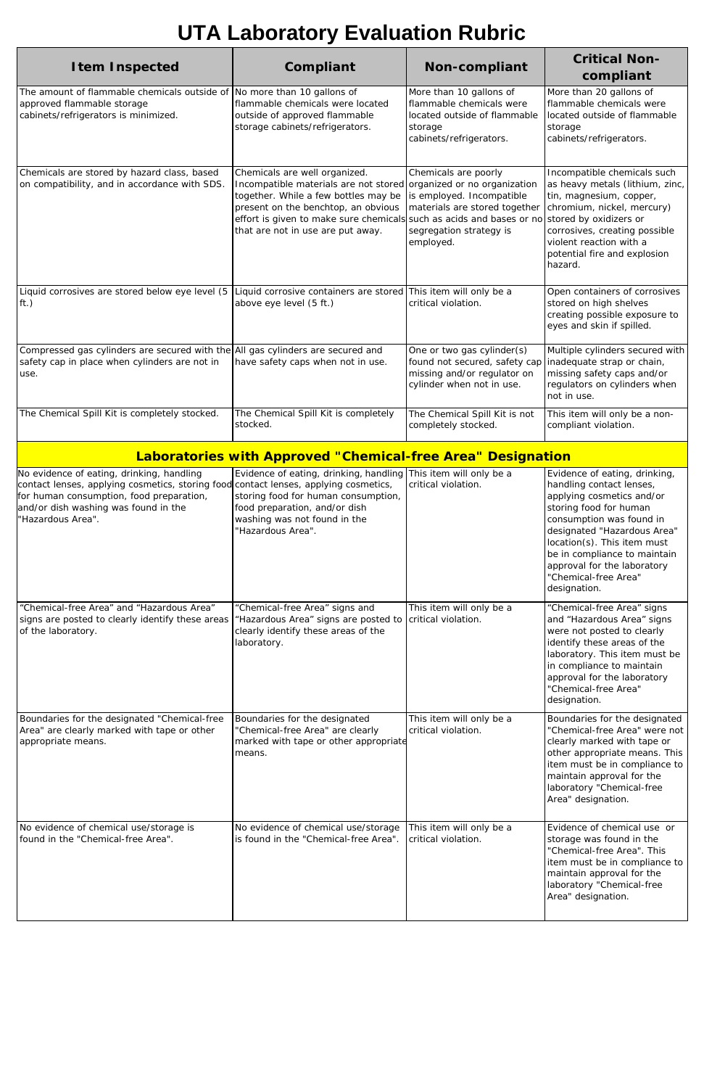| <b>Item Inspected</b>                                                                                                                                 | Compliant                                                                                                                                                                                                                            | <b>Non-compliant</b>                                                                                                                                                                                               | <b>Critical Non-</b><br>compliant                                                                                                                                                                                              |
|-------------------------------------------------------------------------------------------------------------------------------------------------------|--------------------------------------------------------------------------------------------------------------------------------------------------------------------------------------------------------------------------------------|--------------------------------------------------------------------------------------------------------------------------------------------------------------------------------------------------------------------|--------------------------------------------------------------------------------------------------------------------------------------------------------------------------------------------------------------------------------|
| The amount of flammable chemicals outside of $\vert$ No more than 10 gallons of<br>approved flammable storage<br>cabinets/refrigerators is minimized. | flammable chemicals were located<br>outside of approved flammable<br>storage cabinets/refrigerators.                                                                                                                                 | More than 10 gallons of<br>flammable chemicals were<br>located outside of flammable<br>storage<br>cabinets/refrigerators.                                                                                          | More than 20 gallons of<br>flammable chemicals were<br>located outside of flammable<br>storage<br>cabinets/refrigerators.                                                                                                      |
| Chemicals are stored by hazard class, based<br>on compatibility, and in accordance with SDS.                                                          | Chemicals are well organized.<br>Incompatible materials are not stored<br>together. While a few bottles may be<br>present on the benchtop, an obvious<br>effort is given to make sure chemicals<br>that are not in use are put away. | Chemicals are poorly<br>organized or no organization<br>is employed. Incompatible<br>materials are stored together<br>such as acids and bases or no stored by oxidizers or<br>segregation strategy is<br>employed. | Incompatible chemicals such<br>as heavy metals (lithium, zinc,<br>tin, magnesium, copper,<br>chromium, nickel, mercury)<br>corrosives, creating possible<br>violent reaction with a<br>potential fire and explosion<br>hazard. |
| Liquid corrosives are stored below eye level (5<br>ft.)                                                                                               | Liquid corrosive containers are stored This item will only be a<br>above eye level (5 ft.)                                                                                                                                           | critical violation.                                                                                                                                                                                                | Open containers of corrosives<br>stored on high shelves<br>creating possible exposure to<br>eyes and skin if spilled.                                                                                                          |
| Compressed gas cylinders are secured with the All gas cylinders are secured and<br>safety cap in place when cylinders are not in<br>use.              | have safety caps when not in use.                                                                                                                                                                                                    | One or two gas cylinder(s)<br>found not secured, safety cap inadequate strap or chain,<br>missing and/or regulator on<br>cylinder when not in use.                                                                 | Multiple cylinders secured with<br>missing safety caps and/or<br>regulators on cylinders when<br>not in use.                                                                                                                   |
| The Chemical Spill Kit is completely stocked.                                                                                                         | The Chemical Spill Kit is completely<br>stocked.                                                                                                                                                                                     | The Chemical Spill Kit is not<br>completely stocked.                                                                                                                                                               | This item will only be a non-<br>compliant violation.                                                                                                                                                                          |

#### **Laboratories with Approved "Chemical-free Area" Designation**

| No evidence of eating, drinking, handling<br>contact lenses, applying cosmetics, storing food<br>for human consumption, food preparation,<br>and/or dish washing was found in the<br>"Hazardous Area". | Evidence of eating, drinking, handling<br>contact lenses, applying cosmetics,<br>storing food for human consumption,<br>food preparation, and/or dish<br>washing was not found in the<br>"Hazardous Area". | This item will only be a<br>critical violation. | Evidence of eating, drinking,<br>handling contact lenses,<br>applying cosmetics and/or<br>storing food for human<br>consumption was found in<br>designated "Hazardous Area"<br>location(s). This item must<br>be in compliance to maintain<br>approval for the laboratory<br>"Chemical-free Area"<br>designation. |
|--------------------------------------------------------------------------------------------------------------------------------------------------------------------------------------------------------|------------------------------------------------------------------------------------------------------------------------------------------------------------------------------------------------------------|-------------------------------------------------|-------------------------------------------------------------------------------------------------------------------------------------------------------------------------------------------------------------------------------------------------------------------------------------------------------------------|
| "Chemical-free Area" and "Hazardous Area"<br>signs are posted to clearly identify these areas<br>of the laboratory.                                                                                    | "Chemical-free Area" signs and<br>"Hazardous Area" signs are posted to<br>clearly identify these areas of the<br>laboratory.                                                                               | This item will only be a<br>critical violation. | "Chemical-free Area" signs<br>and "Hazardous Area" signs<br>were not posted to clearly<br>identify these areas of the<br>laboratory. This item must be<br>in compliance to maintain<br>approval for the laboratory<br>"Chemical-free Area"<br>designation.                                                        |
| Boundaries for the designated "Chemical-free<br>Area" are clearly marked with tape or other<br>appropriate means.                                                                                      | Boundaries for the designated<br>"Chemical-free Area" are clearly<br>marked with tape or other appropriate<br>means.                                                                                       | This item will only be a<br>critical violation. | Boundaries for the designated<br>"Chemical-free Area" were not<br>clearly marked with tape or<br>other appropriate means. This<br>item must be in compliance to<br>maintain approval for the<br>laboratory "Chemical-free<br>Area" designation.                                                                   |
| No evidence of chemical use/storage is<br>found in the "Chemical-free Area".                                                                                                                           | No evidence of chemical use/storage<br>is found in the "Chemical-free Area".                                                                                                                               | This item will only be a<br>critical violation. | Evidence of chemical use or<br>storage was found in the<br>"Chemical-free Area". This<br>item must be in compliance to<br>maintain approval for the<br>laboratory "Chemical-free<br>Area" designation.                                                                                                            |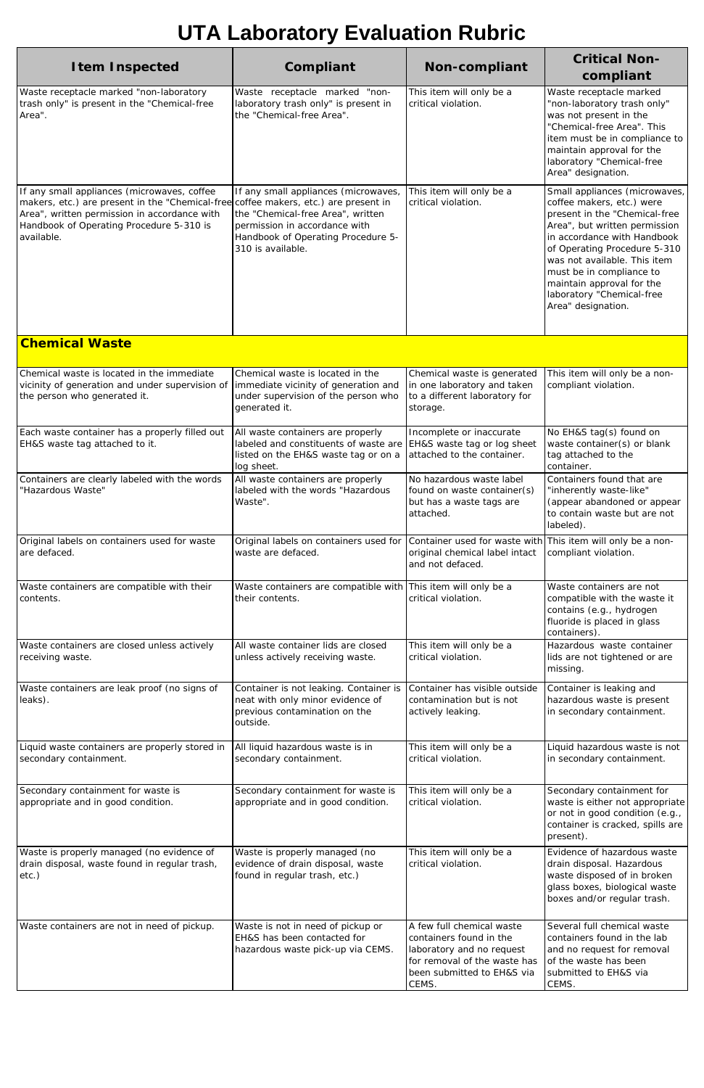| <b>Item Inspected</b>                                                                                                                                                                                                                        | Compliant                                                                                                                                                                                 | <b>Non-compliant</b>                                                                                                                                     | <b>Critical Non-</b><br>compliant                                                                                                                                                                                                                                                                                                       |
|----------------------------------------------------------------------------------------------------------------------------------------------------------------------------------------------------------------------------------------------|-------------------------------------------------------------------------------------------------------------------------------------------------------------------------------------------|----------------------------------------------------------------------------------------------------------------------------------------------------------|-----------------------------------------------------------------------------------------------------------------------------------------------------------------------------------------------------------------------------------------------------------------------------------------------------------------------------------------|
| Waste receptacle marked "non-laboratory<br>trash only" is present in the "Chemical-free<br>Area".                                                                                                                                            | Waste receptacle marked "non-<br>laboratory trash only" is present in<br>the "Chemical-free Area".                                                                                        | This item will only be a<br>critical violation.                                                                                                          | Waste receptacle marked<br>"non-laboratory trash only"<br>was not present in the<br>"Chemical-free Area". This<br>item must be in compliance to<br>maintain approval for the<br>laboratory "Chemical-free<br>Area" designation.                                                                                                         |
| If any small appliances (microwaves, coffee<br>makers, etc.) are present in the "Chemical-free coffee makers, etc.) are present in<br>Area", written permission in accordance with<br>Handbook of Operating Procedure 5-310 is<br>available. | If any small appliances (microwaves,<br>the "Chemical-free Area", written<br>permission in accordance with<br>Handbook of Operating Procedure 5-<br>310 is available.                     | This item will only be a<br>critical violation.                                                                                                          | Small appliances (microwaves,<br>coffee makers, etc.) were<br>present in the "Chemical-free<br>Area", but written permission<br>in accordance with Handbook<br>of Operating Procedure 5-310<br>was not available. This item<br>must be in compliance to<br>maintain approval for the<br>laboratory "Chemical-free<br>Area" designation. |
| <b>Chemical Waste</b>                                                                                                                                                                                                                        |                                                                                                                                                                                           |                                                                                                                                                          |                                                                                                                                                                                                                                                                                                                                         |
| Chemical waste is located in the immediate<br>vicinity of generation and under supervision of<br>the person who generated it.                                                                                                                | Chemical waste is located in the<br>immediate vicinity of generation and<br>under supervision of the person who<br>generated it.                                                          | Chemical waste is generated<br>in one laboratory and taken<br>to a different laboratory for<br>storage.                                                  | This item will only be a non-<br>compliant violation.                                                                                                                                                                                                                                                                                   |
| Each waste container has a properly filled out<br>EH&S waste tag attached to it.                                                                                                                                                             | All waste containers are properly<br>labeled and constituents of waste are   EH&S waste tag or log sheet<br>listed on the EH&S waste tag or on a attached to the container.<br>log sheet. | Incomplete or inaccurate                                                                                                                                 | No EH&S tag(s) found on<br>waste container(s) or blank<br>tag attached to the<br>container.                                                                                                                                                                                                                                             |
| Containers are clearly labeled with the words<br>"Hazardous Waste"                                                                                                                                                                           | All waste containers are properly<br>labeled with the words "Hazardous<br>Waste".                                                                                                         | No hazardous waste label<br>found on waste container(s)<br>but has a waste tags are<br>attached.                                                         | Containers found that are<br>"inherently waste-like"<br>(appear abandoned or appear<br>to contain waste but are not<br>labeled).                                                                                                                                                                                                        |
| Original labels on containers used for waste<br>are defaced.                                                                                                                                                                                 | Original labels on containers used for Container used for waste with This item will only be a non-<br>waste are defaced.                                                                  | original chemical label intact<br>and not defaced.                                                                                                       | compliant violation.                                                                                                                                                                                                                                                                                                                    |
| Waste containers are compatible with their<br>contents.                                                                                                                                                                                      | Waste containers are compatible with This item will only be a<br>their contents.                                                                                                          | critical violation.                                                                                                                                      | Waste containers are not<br>compatible with the waste it<br>contains (e.g., hydrogen<br>fluoride is placed in glass<br>containers).                                                                                                                                                                                                     |
| Waste containers are closed unless actively<br>receiving waste.                                                                                                                                                                              | All waste container lids are closed<br>unless actively receiving waste.                                                                                                                   | This item will only be a<br>critical violation.                                                                                                          | Hazardous waste container<br>lids are not tightened or are<br>missing.                                                                                                                                                                                                                                                                  |
| Waste containers are leak proof (no signs of<br>leaks).                                                                                                                                                                                      | Container is not leaking. Container is<br>neat with only minor evidence of<br>previous contamination on the<br>outside.                                                                   | Container has visible outside<br>contamination but is not<br>actively leaking.                                                                           | Container is leaking and<br>hazardous waste is present<br>in secondary containment.                                                                                                                                                                                                                                                     |
| Liquid waste containers are properly stored in<br>secondary containment.                                                                                                                                                                     | All liquid hazardous waste is in<br>secondary containment.                                                                                                                                | This item will only be a<br>critical violation.                                                                                                          | Liquid hazardous waste is not<br>in secondary containment.                                                                                                                                                                                                                                                                              |
| Secondary containment for waste is<br>appropriate and in good condition.                                                                                                                                                                     | Secondary containment for waste is<br>appropriate and in good condition.                                                                                                                  | This item will only be a<br>critical violation.                                                                                                          | Secondary containment for<br>waste is either not appropriate<br>or not in good condition (e.g.,<br>container is cracked, spills are<br>present).                                                                                                                                                                                        |
| Waste is properly managed (no evidence of<br>drain disposal, waste found in regular trash,<br>$etc.$ )                                                                                                                                       | Waste is properly managed (no<br>evidence of drain disposal, waste<br>found in regular trash, etc.)                                                                                       | This item will only be a<br>critical violation.                                                                                                          | Evidence of hazardous waste<br>drain disposal. Hazardous<br>waste disposed of in broken<br>glass boxes, biological waste<br>boxes and/or regular trash.                                                                                                                                                                                 |
| Waste containers are not in need of pickup.                                                                                                                                                                                                  | Waste is not in need of pickup or<br>EH&S has been contacted for<br>hazardous waste pick-up via CEMS.                                                                                     | A few full chemical waste<br>containers found in the<br>laboratory and no request<br>for removal of the waste has<br>been submitted to EH&S via<br>CEMS. | Several full chemical waste<br>containers found in the lab<br>and no request for removal<br>of the waste has been<br>submitted to EH&S via<br>CEMS.                                                                                                                                                                                     |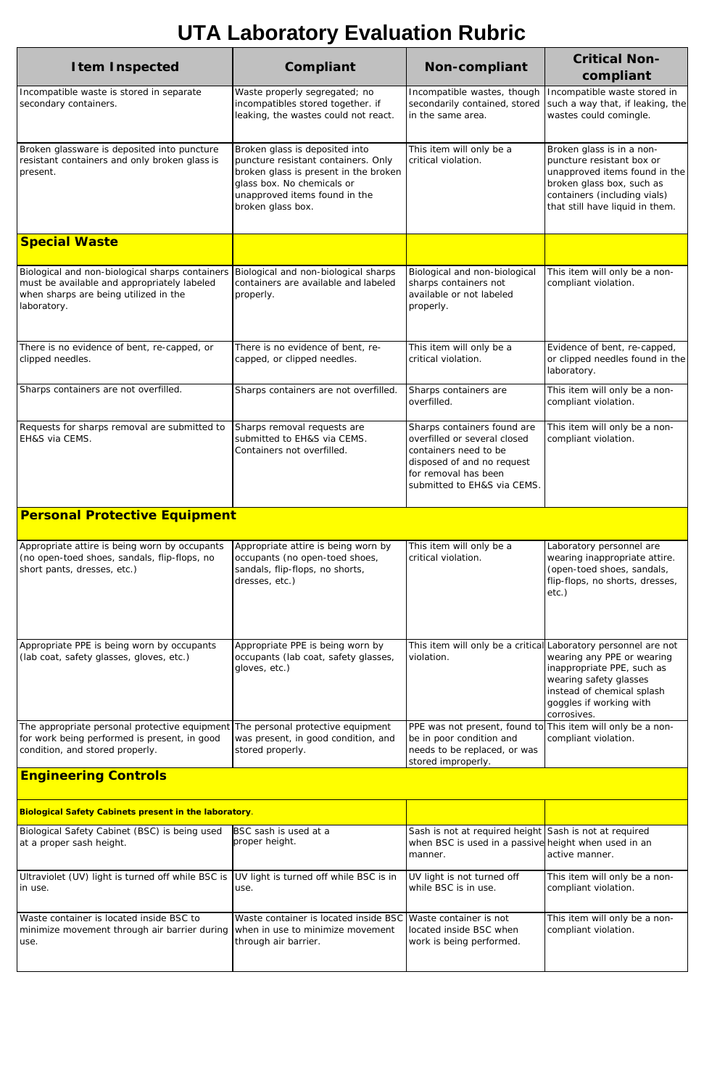| <b>Item Inspected</b>                                                                                                                                  | Compliant                                                                                                                                                                                          | <b>Non-compliant</b>                                                                                                                                                      | <b>Critical Non-</b><br>compliant                                                                                                                                                                                            |
|--------------------------------------------------------------------------------------------------------------------------------------------------------|----------------------------------------------------------------------------------------------------------------------------------------------------------------------------------------------------|---------------------------------------------------------------------------------------------------------------------------------------------------------------------------|------------------------------------------------------------------------------------------------------------------------------------------------------------------------------------------------------------------------------|
| Incompatible waste is stored in separate<br>secondary containers.                                                                                      | Waste properly segregated; no<br>incompatibles stored together. if<br>leaking, the wastes could not react.                                                                                         | Incompatible wastes, though<br>secondarily contained, stored<br>in the same area.                                                                                         | Incompatible waste stored in<br>such a way that, if leaking, the<br>wastes could comingle.                                                                                                                                   |
| Broken glassware is deposited into puncture<br>resistant containers and only broken glass is<br>present.                                               | Broken glass is deposited into<br>puncture resistant containers. Only<br>broken glass is present in the broken<br>glass box. No chemicals or<br>unapproved items found in the<br>broken glass box. | This item will only be a<br>critical violation.                                                                                                                           | Broken glass is in a non-<br>puncture resistant box or<br>unapproved items found in the<br>broken glass box, such as<br>containers (including vials)<br>that still have liquid in them.                                      |
| <b>Special Waste</b>                                                                                                                                   |                                                                                                                                                                                                    |                                                                                                                                                                           |                                                                                                                                                                                                                              |
| Biological and non-biological sharps containers<br>must be available and appropriately labeled<br>when sharps are being utilized in the<br>laboratory. | Biological and non-biological sharps<br>containers are available and labeled<br>properly.                                                                                                          | Biological and non-biological<br>sharps containers not<br>available or not labeled<br>properly.                                                                           | This item will only be a non-<br>compliant violation.                                                                                                                                                                        |
| There is no evidence of bent, re-capped, or<br>clipped needles.                                                                                        | There is no evidence of bent, re-<br>capped, or clipped needles.                                                                                                                                   | This item will only be a<br>critical violation.                                                                                                                           | Evidence of bent, re-capped,<br>or clipped needles found in the<br>laboratory.                                                                                                                                               |
| Sharps containers are not overfilled.                                                                                                                  | Sharps containers are not overfilled.                                                                                                                                                              | Sharps containers are<br>overfilled.                                                                                                                                      | This item will only be a non-<br>compliant violation.                                                                                                                                                                        |
| Requests for sharps removal are submitted to<br>EH&S via CEMS.                                                                                         | Sharps removal requests are<br>submitted to EH&S via CEMS.<br>Containers not overfilled.                                                                                                           | Sharps containers found are<br>overfilled or several closed<br>containers need to be<br>disposed of and no request<br>for removal has been<br>submitted to EH&S via CEMS. | This item will only be a non-<br>compliant violation.                                                                                                                                                                        |
| <b>Personal Protective Equipment</b>                                                                                                                   |                                                                                                                                                                                                    |                                                                                                                                                                           |                                                                                                                                                                                                                              |
| Appropriate attire is being worn by occupants<br>(no open-toed shoes, sandals, flip-flops, no<br>short pants, dresses, etc.)                           | Appropriate attire is being worn by<br>occupants (no open-toed shoes,<br>sandals, flip-flops, no shorts,<br>dresses, etc.)                                                                         | This item will only be a<br>critical violation.                                                                                                                           | Laboratory personnel are<br>wearing inappropriate attire.<br>(open-toed shoes, sandals,<br>flip-flops, no shorts, dresses,<br>$etc.$ )                                                                                       |
| Appropriate PPE is being worn by occupants<br>(lab coat, safety glasses, gloves, etc.)                                                                 | Appropriate PPE is being worn by<br>occupants (lab coat, safety glasses,<br>gloves, etc.)                                                                                                          | violation.                                                                                                                                                                | This item will only be a critical Laboratory personnel are not<br>wearing any PPE or wearing<br>inappropriate PPE, such as<br>wearing safety glasses<br>instead of chemical splash<br>goggles if working with<br>corrosives. |
| The appropriate personal protective equipment<br>for work being performed is present, in good<br>condition, and stored properly.                       | The personal protective equipment<br>was present, in good condition, and<br>stored properly.                                                                                                       | PPE was not present, found to This item will only be a non-<br>be in poor condition and<br>needs to be replaced, or was<br>stored improperly.                             | compliant violation.                                                                                                                                                                                                         |
| <b>Engineering Controls</b>                                                                                                                            |                                                                                                                                                                                                    |                                                                                                                                                                           |                                                                                                                                                                                                                              |

| <b>Biological Safety Cabinets present in the laboratory.</b>                                                                      |                                                                                      |                                                                                                                           |                                                       |  |
|-----------------------------------------------------------------------------------------------------------------------------------|--------------------------------------------------------------------------------------|---------------------------------------------------------------------------------------------------------------------------|-------------------------------------------------------|--|
| Biological Safety Cabinet (BSC) is being used<br>at a proper sash height.                                                         | BSC sash is used at a<br>proper height.                                              | Sash is not at required height Sash is not at required<br>when BSC is used in a passive height when used in an<br>manner. | active manner.                                        |  |
| Ultraviolet (UV) light is turned off while BSC is  UV light is turned off while BSC is in<br>in use.                              | use.                                                                                 | UV light is not turned off<br>while BSC is in use.                                                                        | This item will only be a non-<br>compliant violation. |  |
| Waste container is located inside BSC to<br>minimize movement through air barrier during when in use to minimize movement<br>use. | Waste container is located inside BSC Waste container is not<br>through air barrier. | located inside BSC when<br>work is being performed.                                                                       | This item will only be a non-<br>compliant violation. |  |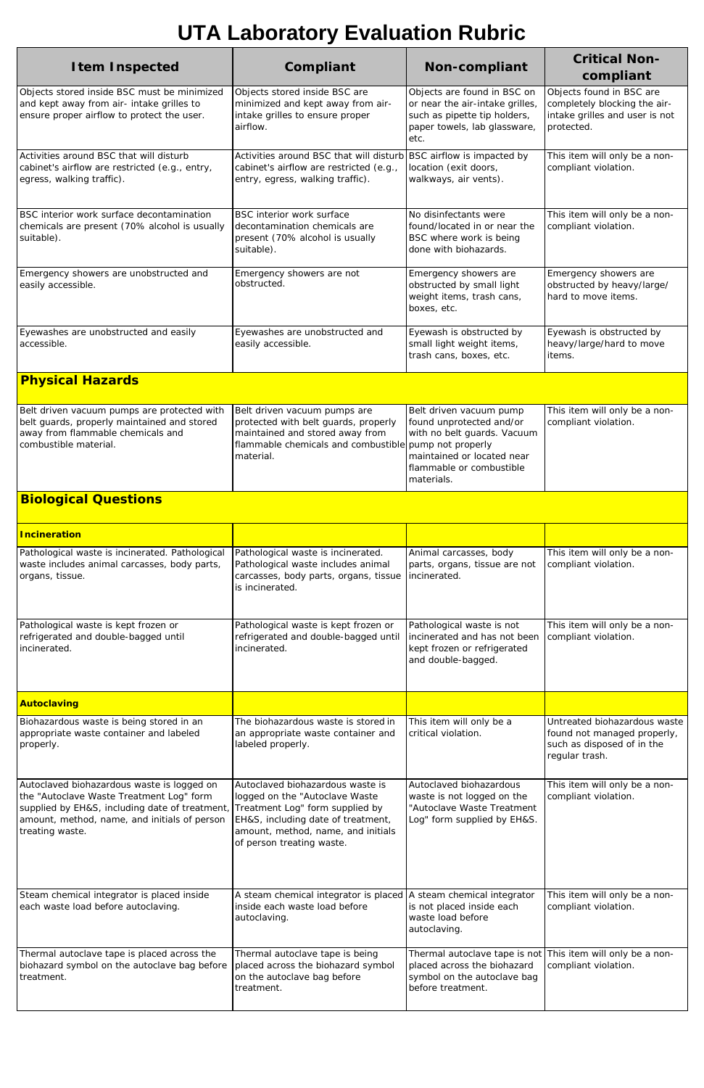| <b>Item Inspected</b>                                                                                                                                                                                       | Compliant                                                                                                                                                                                                      | <b>Non-compliant</b>                                                                                                                                       | <b>Critical Non-</b><br>compliant                                                                           |
|-------------------------------------------------------------------------------------------------------------------------------------------------------------------------------------------------------------|----------------------------------------------------------------------------------------------------------------------------------------------------------------------------------------------------------------|------------------------------------------------------------------------------------------------------------------------------------------------------------|-------------------------------------------------------------------------------------------------------------|
| Objects stored inside BSC must be minimized<br>and kept away from air- intake grilles to<br>ensure proper airflow to protect the user.                                                                      | Objects stored inside BSC are<br>minimized and kept away from air-<br>intake grilles to ensure proper<br>airflow.                                                                                              | Objects are found in BSC on<br>or near the air-intake grilles,<br>such as pipette tip holders,<br>paper towels, lab glassware,<br>etc.                     | Objects found in BSC are<br>completely blocking the air-<br>intake grilles and user is not<br>protected.    |
| Activities around BSC that will disturb<br>cabinet's airflow are restricted (e.g., entry,<br>egress, walking traffic).                                                                                      | Activities around BSC that will disturb<br>cabinet's airflow are restricted (e.g.,<br>entry, egress, walking traffic).                                                                                         | BSC airflow is impacted by<br>location (exit doors,<br>walkways, air vents).                                                                               | This item will only be a non-<br>compliant violation.                                                       |
| BSC interior work surface decontamination<br>chemicals are present (70% alcohol is usually<br>suitable).                                                                                                    | BSC interior work surface<br>decontamination chemicals are<br>present (70% alcohol is usually<br>suitable).                                                                                                    | No disinfectants were<br>found/located in or near the<br>BSC where work is being<br>done with biohazards.                                                  | This item will only be a non-<br>compliant violation.                                                       |
| Emergency showers are unobstructed and<br>easily accessible.                                                                                                                                                | Emergency showers are not<br>obstructed.                                                                                                                                                                       | Emergency showers are<br>obstructed by small light<br>weight items, trash cans,<br>boxes, etc.                                                             | Emergency showers are<br>obstructed by heavy/large/<br>hard to move items.                                  |
| Eyewashes are unobstructed and easily<br>accessible.                                                                                                                                                        | Eyewashes are unobstructed and<br>easily accessible.                                                                                                                                                           | Eyewash is obstructed by<br>small light weight items,<br>trash cans, boxes, etc.                                                                           | Eyewash is obstructed by<br>heavy/large/hard to move<br>items.                                              |
| <b>Physical Hazards</b>                                                                                                                                                                                     |                                                                                                                                                                                                                |                                                                                                                                                            |                                                                                                             |
| Belt driven vacuum pumps are protected with<br>belt guards, properly maintained and stored<br>away from flammable chemicals and<br>combustible material.                                                    | Belt driven vacuum pumps are<br>protected with belt guards, properly<br>maintained and stored away from<br>flammable chemicals and combustible pump not properly<br>material.                                  | Belt driven vacuum pump<br>found unprotected and/or<br>with no belt guards. Vacuum<br>maintained or located near<br>flammable or combustible<br>materials. | This item will only be a non-<br>compliant violation.                                                       |
| <b>Biological Questions</b>                                                                                                                                                                                 |                                                                                                                                                                                                                |                                                                                                                                                            |                                                                                                             |
| <b>Incineration</b>                                                                                                                                                                                         |                                                                                                                                                                                                                |                                                                                                                                                            |                                                                                                             |
| Pathological waste is incinerated. Pathological<br>waste includes animal carcasses, body parts,<br>organs, tissue.                                                                                          | Pathological waste is incinerated.<br>Pathological waste includes animal<br>carcasses, body parts, organs, tissue<br>is incinerated.                                                                           | Animal carcasses, body<br>parts, organs, tissue are not<br>incinerated.                                                                                    | This item will only be a non-<br>compliant violation.                                                       |
| Pathological waste is kept frozen or<br>refrigerated and double-bagged until<br>incinerated.                                                                                                                | Pathological waste is kept frozen or<br>refrigerated and double-bagged until<br>incinerated.                                                                                                                   | Pathological waste is not<br>incinerated and has not been<br>kept frozen or refrigerated<br>and double-bagged.                                             | This item will only be a non-<br>compliant violation.                                                       |
| Autoclaving                                                                                                                                                                                                 |                                                                                                                                                                                                                |                                                                                                                                                            |                                                                                                             |
| Biohazardous waste is being stored in an<br>appropriate waste container and labeled<br>properly.                                                                                                            | The biohazardous waste is stored in<br>an appropriate waste container and<br>labeled properly.                                                                                                                 | This item will only be a<br>critical violation.                                                                                                            | Untreated biohazardous waste<br>found not managed properly,<br>such as disposed of in the<br>regular trash. |
| Autoclaved biohazardous waste is logged on<br>the "Autoclave Waste Treatment Log" form<br>supplied by EH&S, including date of treatment,<br>amount, method, name, and initials of person<br>treating waste. | Autoclaved biohazardous waste is<br>logged on the "Autoclave Waste<br>Treatment Log" form supplied by<br>EH&S, including date of treatment,<br>amount, method, name, and initials<br>of person treating waste. | Autoclaved biohazardous<br>waste is not logged on the<br>"Autoclave Waste Treatment<br>Log" form supplied by EH&S.                                         | This item will only be a non-<br>compliant violation.                                                       |
| Steam chemical integrator is placed inside<br>each waste load before autoclaving.                                                                                                                           | A steam chemical integrator is placed   A steam chemical integrator<br>inside each waste load before<br>autoclaving.                                                                                           | is not placed inside each<br>waste load before<br>autoclaving.                                                                                             | This item will only be a non-<br>compliant violation.                                                       |
| Thermal autoclave tape is placed across the<br>biohazard symbol on the autoclave bag before<br>treatment.                                                                                                   | Thermal autoclave tape is being<br>placed across the biohazard symbol<br>on the autoclave bag before<br>treatment.                                                                                             | Thermal autoclave tape is not This item will only be a non-<br>placed across the biohazard<br>symbol on the autoclave bag<br>before treatment.             | compliant violation.                                                                                        |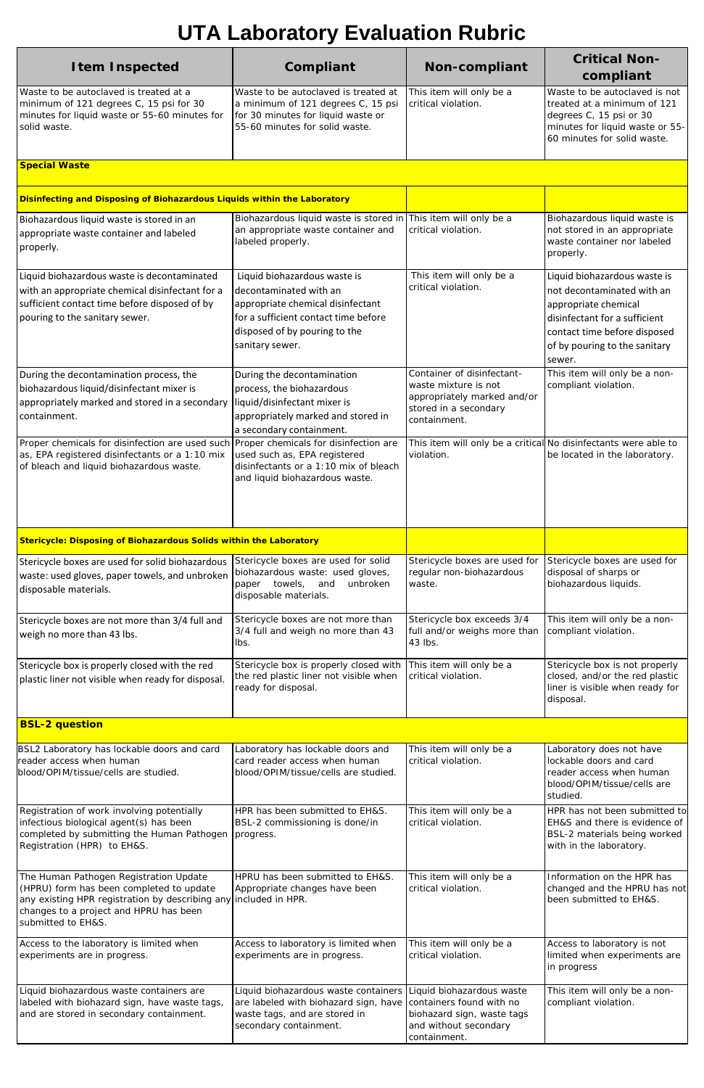| <b>Item Inspected</b>                                                                                                                                                                                                  | Compliant                                                                                                                                                                               | <b>Non-compliant</b>                                                                                                         | <b>Critical Non-</b><br>compliant                                                                                                                                                              |
|------------------------------------------------------------------------------------------------------------------------------------------------------------------------------------------------------------------------|-----------------------------------------------------------------------------------------------------------------------------------------------------------------------------------------|------------------------------------------------------------------------------------------------------------------------------|------------------------------------------------------------------------------------------------------------------------------------------------------------------------------------------------|
| Waste to be autoclaved is treated at a<br>minimum of 121 degrees C, 15 psi for 30<br>minutes for liquid waste or 55-60 minutes for<br>solid waste.                                                                     | Waste to be autoclaved is treated at<br>a minimum of 121 degrees C, 15 psi<br>for 30 minutes for liquid waste or<br>55-60 minutes for solid waste.                                      | This item will only be a<br>critical violation.                                                                              | Waste to be autoclaved is not<br>treated at a minimum of 121<br>degrees C, 15 psi or 30<br>minutes for liquid waste or 55-<br>60 minutes for solid waste.                                      |
| <b>Special Waste</b>                                                                                                                                                                                                   |                                                                                                                                                                                         |                                                                                                                              |                                                                                                                                                                                                |
| Disinfecting and Disposing of Biohazardous Liquids within the Laboratory                                                                                                                                               |                                                                                                                                                                                         |                                                                                                                              |                                                                                                                                                                                                |
| Biohazardous liquid waste is stored in an<br>appropriate waste container and labeled<br>properly.                                                                                                                      | Biohazardous liquid waste is stored in This item will only be a<br>an appropriate waste container and<br>labeled properly.                                                              | critical violation.                                                                                                          | Biohazardous liquid waste is<br>not stored in an appropriate<br>waste container nor labeled<br>properly.                                                                                       |
| Liquid biohazardous waste is decontaminated<br>with an appropriate chemical disinfectant for a<br>sufficient contact time before disposed of by<br>pouring to the sanitary sewer.                                      | Liquid biohazardous waste is<br>decontaminated with an<br>appropriate chemical disinfectant<br>for a sufficient contact time before<br>disposed of by pouring to the<br>sanitary sewer. | This item will only be a<br>critical violation.                                                                              | Liquid biohazardous waste is<br>not decontaminated with an<br>appropriate chemical<br>disinfectant for a sufficient<br>contact time before disposed<br>of by pouring to the sanitary<br>sewer. |
| During the decontamination process, the<br>biohazardous liquid/disinfectant mixer is<br>appropriately marked and stored in a secondary<br>containment.                                                                 | During the decontamination<br>process, the biohazardous<br>liquid/disinfectant mixer is<br>appropriately marked and stored in<br>a secondary containment.                               | Container of disinfectant-<br>waste mixture is not<br>appropriately marked and/or<br>stored in a secondary<br>containment.   | This item will only be a non-<br>compliant violation.                                                                                                                                          |
| Proper chemicals for disinfection are used such Proper chemicals for disinfection are<br>as, EPA registered disinfectants or a 1:10 mix<br>of bleach and liquid biohazardous waste.                                    | used such as, EPA registered<br>disinfectants or a 1:10 mix of bleach<br>and liquid biohazardous waste.                                                                                 | This item will only be a critical No disinfectants were able to<br>violation.                                                | be located in the laboratory.                                                                                                                                                                  |
| Stericycle: Disposing of Biohazardous Solids within the Laboratory                                                                                                                                                     |                                                                                                                                                                                         |                                                                                                                              |                                                                                                                                                                                                |
| Stericycle boxes are used for solid biohazardous<br>waste: used gloves, paper towels, and unbroken<br>disposable materials.                                                                                            | Stericycle boxes are used for solid<br>biohazardous waste: used gloves,<br>paper towels, and<br>unbroken<br>disposable materials.                                                       | Stericycle boxes are used for<br>regular non-biohazardous<br>waste.                                                          | Stericycle boxes are used for<br>disposal of sharps or<br>biohazardous liquids.                                                                                                                |
| Stericycle boxes are not more than 3/4 full and<br>weigh no more than 43 lbs.                                                                                                                                          | Stericycle boxes are not more than<br>3/4 full and weigh no more than 43<br>lbs.                                                                                                        | Stericycle box exceeds 3/4<br>full and/or weighs more than<br>43 lbs.                                                        | This item will only be a non-<br>compliant violation.                                                                                                                                          |
| Stericycle box is properly closed with the red<br>plastic liner not visible when ready for disposal.                                                                                                                   | Stericycle box is properly closed with<br>the red plastic liner not visible when<br>ready for disposal.                                                                                 | This item will only be a<br>critical violation.                                                                              | Stericycle box is not properly<br>closed, and/or the red plastic<br>liner is visible when ready for<br>disposal.                                                                               |
| <b>BSL-2 question</b>                                                                                                                                                                                                  |                                                                                                                                                                                         |                                                                                                                              |                                                                                                                                                                                                |
| BSL2 Laboratory has lockable doors and card<br>reader access when human<br>blood/OPIM/tissue/cells are studied.                                                                                                        | Laboratory has lockable doors and<br>card reader access when human<br>blood/OPIM/tissue/cells are studied.                                                                              | This item will only be a<br>critical violation.                                                                              | Laboratory does not have<br>lockable doors and card<br>reader access when human<br>blood/OPIM/tissue/cells are<br>studied.                                                                     |
| Registration of work involving potentially<br>infectious biological agent(s) has been<br>completed by submitting the Human Pathogen<br>Registration (HPR) to EH&S.                                                     | HPR has been submitted to EH&S.<br>BSL-2 commissioning is done/in<br>progress.                                                                                                          | This item will only be a<br>critical violation.                                                                              | HPR has not been submitted to<br>EH&S and there is evidence of<br>BSL-2 materials being worked<br>with in the laboratory.                                                                      |
| The Human Pathogen Registration Update<br>(HPRU) form has been completed to update<br>any existing HPR registration by describing any included in HPR.<br>changes to a project and HPRU has been<br>submitted to EH&S. | HPRU has been submitted to EH&S.<br>Appropriate changes have been                                                                                                                       | This item will only be a<br>critical violation.                                                                              | Information on the HPR has<br>changed and the HPRU has not<br>been submitted to EH&S.                                                                                                          |
| Access to the laboratory is limited when<br>experiments are in progress.                                                                                                                                               | Access to laboratory is limited when<br>experiments are in progress.                                                                                                                    | This item will only be a<br>critical violation.                                                                              | Access to laboratory is not<br>limited when experiments are<br>in progress                                                                                                                     |
| Liquid biohazardous waste containers are<br>labeled with biohazard sign, have waste tags,<br>and are stored in secondary containment.                                                                                  | Liquid biohazardous waste containers<br>are labeled with biohazard sign, have<br>waste tags, and are stored in<br>secondary containment.                                                | Liquid biohazardous waste<br>containers found with no<br>biohazard sign, waste tags<br>and without secondary<br>containment. | This item will only be a non-<br>compliant violation.                                                                                                                                          |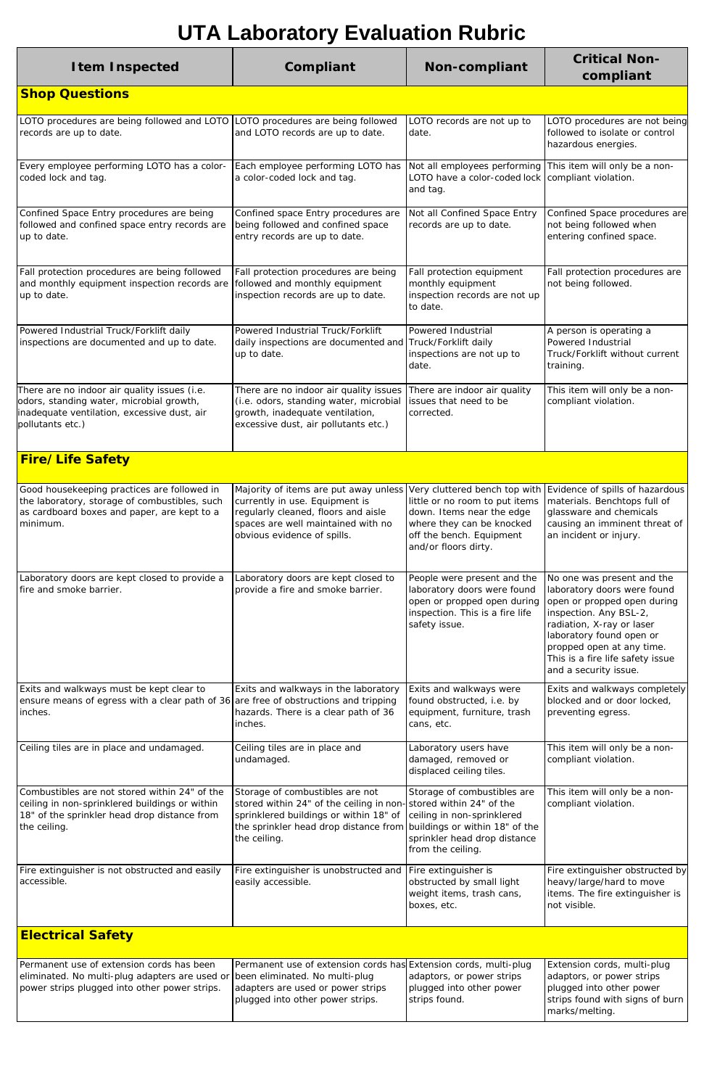| <b>Item Inspected</b>                                                                                                                                                       | Compliant                                                                                                                                                                                              | <b>Non-compliant</b>                                                                                                                                                          | <b>Critical Non-</b><br>compliant                                                                                                                                                                                                                                     |  |
|-----------------------------------------------------------------------------------------------------------------------------------------------------------------------------|--------------------------------------------------------------------------------------------------------------------------------------------------------------------------------------------------------|-------------------------------------------------------------------------------------------------------------------------------------------------------------------------------|-----------------------------------------------------------------------------------------------------------------------------------------------------------------------------------------------------------------------------------------------------------------------|--|
| <b>Shop Questions</b>                                                                                                                                                       |                                                                                                                                                                                                        |                                                                                                                                                                               |                                                                                                                                                                                                                                                                       |  |
| LOTO procedures are being followed and LOTO<br>records are up to date.                                                                                                      | LOTO procedures are being followed<br>and LOTO records are up to date.                                                                                                                                 | LOTO records are not up to<br>date.                                                                                                                                           | LOTO procedures are not being<br>followed to isolate or control<br>hazardous energies.                                                                                                                                                                                |  |
| Every employee performing LOTO has a color-<br>coded lock and tag.                                                                                                          | Each employee performing LOTO has<br>a color-coded lock and tag.                                                                                                                                       | Not all employees performing<br>LOTO have a color-coded lock compliant violation.<br>and tag.                                                                                 | This item will only be a non-                                                                                                                                                                                                                                         |  |
| Confined Space Entry procedures are being<br>followed and confined space entry records are<br>up to date.                                                                   | Confined space Entry procedures are<br>being followed and confined space<br>entry records are up to date.                                                                                              | Not all Confined Space Entry<br>records are up to date.                                                                                                                       | Confined Space procedures are<br>not being followed when<br>entering confined space.                                                                                                                                                                                  |  |
| Fall protection procedures are being followed<br>and monthly equipment inspection records are<br>up to date.                                                                | Fall protection procedures are being<br>followed and monthly equipment<br>inspection records are up to date.                                                                                           | Fall protection equipment<br>monthly equipment<br>inspection records are not up<br>to date.                                                                                   | Fall protection procedures are<br>not being followed.                                                                                                                                                                                                                 |  |
| Powered Industrial Truck/Forklift daily<br>inspections are documented and up to date.                                                                                       | Powered Industrial Truck/Forklift<br>daily inspections are documented and Truck/Forklift daily<br>up to date.                                                                                          | Powered Industrial<br>inspections are not up to<br>date.                                                                                                                      | A person is operating a<br>Powered Industrial<br>Truck/Forklift without current<br>training.                                                                                                                                                                          |  |
| There are no indoor air quality issues (i.e.<br>odors, standing water, microbial growth,<br>inadequate ventilation, excessive dust, air<br>pollutants etc.)                 | There are no indoor air quality issues<br>(i.e. odors, standing water, microbial<br>growth, inadequate ventilation,<br>excessive dust, air pollutants etc.)                                            | There are indoor air quality<br>issues that need to be<br>corrected.                                                                                                          | This item will only be a non-<br>compliant violation.                                                                                                                                                                                                                 |  |
| <b>Fire/Life Safety</b>                                                                                                                                                     |                                                                                                                                                                                                        |                                                                                                                                                                               |                                                                                                                                                                                                                                                                       |  |
| Good housekeeping practices are followed in<br>the laboratory, storage of combustibles, such<br>as cardboard boxes and paper, are kept to a<br>minimum.                     | Majority of items are put away unless<br>currently in use. Equipment is<br>regularly cleaned, floors and aisle<br>spaces are well maintained with no<br>obvious evidence of spills.                    | Very cluttered bench top with<br>little or no room to put items<br>down. Items near the edge<br>where they can be knocked<br>off the bench. Equipment<br>and/or floors dirty. | Evidence of spills of hazardous<br>materials. Benchtops full of<br>glassware and chemicals<br>causing an imminent threat of<br>an incident or injury.                                                                                                                 |  |
| Laboratory doors are kept closed to provide a<br>fire and smoke barrier.                                                                                                    | Laboratory doors are kept closed to<br>provide a fire and smoke barrier.                                                                                                                               | People were present and the<br>laboratory doors were found<br>open or propped open during<br>inspection. This is a fire life<br>safety issue.                                 | No one was present and the<br>laboratory doors were found<br>open or propped open during<br>inspection. Any BSL-2,<br>radiation, X-ray or laser<br>laboratory found open or<br>propped open at any time.<br>This is a fire life safety issue<br>and a security issue. |  |
| Exits and walkways must be kept clear to<br>ensure means of egress with a clear path of 36 are free of obstructions and tripping<br>inches.                                 | Exits and walkways in the laboratory<br>hazards. There is a clear path of 36<br>inches.                                                                                                                | Exits and walkways were<br>found obstructed, i.e. by<br>equipment, furniture, trash<br>cans, etc.                                                                             | Exits and walkways completely<br>blocked and or door locked,<br>preventing egress.                                                                                                                                                                                    |  |
| Ceiling tiles are in place and undamaged.                                                                                                                                   | Ceiling tiles are in place and<br>undamaged.                                                                                                                                                           | Laboratory users have<br>damaged, removed or<br>displaced ceiling tiles.                                                                                                      | This item will only be a non-<br>compliant violation.                                                                                                                                                                                                                 |  |
| Combustibles are not stored within 24" of the<br>ceiling in non-sprinklered buildings or within<br>18" of the sprinkler head drop distance from<br>the ceiling.             | Storage of combustibles are not<br>stored within 24" of the ceiling in non-stored within 24" of the<br>sprinklered buildings or within 18" of<br>the sprinkler head drop distance from<br>the ceiling. | Storage of combustibles are<br>ceiling in non-sprinklered<br>buildings or within 18" of the<br>sprinkler head drop distance<br>from the ceiling.                              | This item will only be a non-<br>compliant violation.                                                                                                                                                                                                                 |  |
| Fire extinguisher is not obstructed and easily<br>accessible.                                                                                                               | Fire extinguisher is unobstructed and<br>easily accessible.                                                                                                                                            | Fire extinguisher is<br>obstructed by small light<br>weight items, trash cans,<br>boxes, etc.                                                                                 | Fire extinguisher obstructed by<br>heavy/large/hard to move<br>items. The fire extinguisher is<br>not visible.                                                                                                                                                        |  |
| <b>Electrical Safety</b>                                                                                                                                                    |                                                                                                                                                                                                        |                                                                                                                                                                               |                                                                                                                                                                                                                                                                       |  |
| Permanent use of extension cords has been<br>eliminated. No multi-plug adapters are used or been eliminated. No multi-plug<br>power strips plugged into other power strips. | Permanent use of extension cords has Extension cords, multi-plug<br>adapters are used or power strips<br>plugged into other power strips.                                                              | adaptors, or power strips<br>plugged into other power<br>strips found.                                                                                                        | Extension cords, multi-plug<br>adaptors, or power strips<br>plugged into other power<br>strips found with signs of burn<br>marks/melting.                                                                                                                             |  |